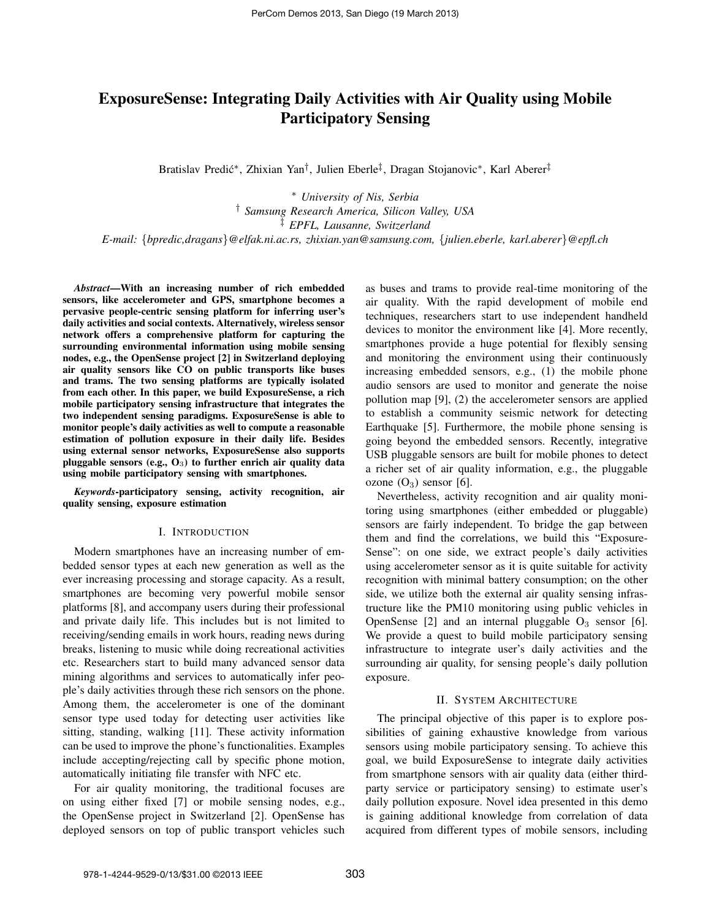# ExposureSense: Integrating Daily Activities with Air Quality using Mobile Participatory Sensing

Bratislav Predić\*, Zhixian Yan<sup>†</sup>, Julien Eberle<sup>‡</sup>, Dragan Stojanovic\*, Karl Aberer<sup>‡</sup>

<sup>∗</sup> *University of Nis, Serbia* † *Samsung Research America, Silicon Valley, USA* ‡ *EPFL, Lausanne, Switzerland E-mail:* {*bpredic,dragans*}*@elfak.ni.ac.rs, zhixian.yan@samsung.com,* {*julien.eberle, karl.aberer*}*@epfl.ch*

*Abstract*—With an increasing number of rich embedded sensors, like accelerometer and GPS, smartphone becomes a pervasive people-centric sensing platform for inferring user's daily activities and social contexts. Alternatively, wireless sensor network offers a comprehensive platform for capturing the surrounding environmental information using mobile sensing nodes, e.g., the OpenSense project [2] in Switzerland deploying air quality sensors like CO on public transports like buses and trams. The two sensing platforms are typically isolated from each other. In this paper, we build ExposureSense, a rich mobile participatory sensing infrastructure that integrates the two independent sensing paradigms. ExposureSense is able to monitor people's daily activities as well to compute a reasonable estimation of pollution exposure in their daily life. Besides using external sensor networks, ExposureSense also supports pluggable sensors (e.g.,  $O_3$ ) to further enrich air quality data using mobile participatory sensing with smartphones.

*Keywords*-participatory sensing, activity recognition, air quality sensing, exposure estimation

### I. INTRODUCTION

Modern smartphones have an increasing number of embedded sensor types at each new generation as well as the ever increasing processing and storage capacity. As a result, smartphones are becoming very powerful mobile sensor platforms [8], and accompany users during their professional and private daily life. This includes but is not limited to receiving/sending emails in work hours, reading news during breaks, listening to music while doing recreational activities etc. Researchers start to build many advanced sensor data mining algorithms and services to automatically infer people's daily activities through these rich sensors on the phone. Among them, the accelerometer is one of the dominant sensor type used today for detecting user activities like sitting, standing, walking [11]. These activity information can be used to improve the phone's functionalities. Examples include accepting/rejecting call by specific phone motion, automatically initiating file transfer with NFC etc.

For air quality monitoring, the traditional focuses are on using either fixed [7] or mobile sensing nodes, e.g., the OpenSense project in Switzerland [2]. OpenSense has deployed sensors on top of public transport vehicles such as buses and trams to provide real-time monitoring of the air quality. With the rapid development of mobile end techniques, researchers start to use independent handheld devices to monitor the environment like [4]. More recently, smartphones provide a huge potential for flexibly sensing and monitoring the environment using their continuously increasing embedded sensors, e.g., (1) the mobile phone audio sensors are used to monitor and generate the noise pollution map [9], (2) the accelerometer sensors are applied to establish a community seismic network for detecting Earthquake [5]. Furthermore, the mobile phone sensing is going beyond the embedded sensors. Recently, integrative USB pluggable sensors are built for mobile phones to detect a richer set of air quality information, e.g., the pluggable ozone  $(O_3)$  sensor [6].

Nevertheless, activity recognition and air quality monitoring using smartphones (either embedded or pluggable) sensors are fairly independent. To bridge the gap between them and find the correlations, we build this "Exposure-Sense": on one side, we extract people's daily activities using accelerometer sensor as it is quite suitable for activity recognition with minimal battery consumption; on the other side, we utilize both the external air quality sensing infrastructure like the PM10 monitoring using public vehicles in OpenSense [2] and an internal pluggable  $O_3$  sensor [6]. We provide a quest to build mobile participatory sensing infrastructure to integrate user's daily activities and the surrounding air quality, for sensing people's daily pollution exposure.

# II. SYSTEM ARCHITECTURE

The principal objective of this paper is to explore possibilities of gaining exhaustive knowledge from various sensors using mobile participatory sensing. To achieve this goal, we build ExposureSense to integrate daily activities from smartphone sensors with air quality data (either thirdparty service or participatory sensing) to estimate user's daily pollution exposure. Novel idea presented in this demo is gaining additional knowledge from correlation of data acquired from different types of mobile sensors, including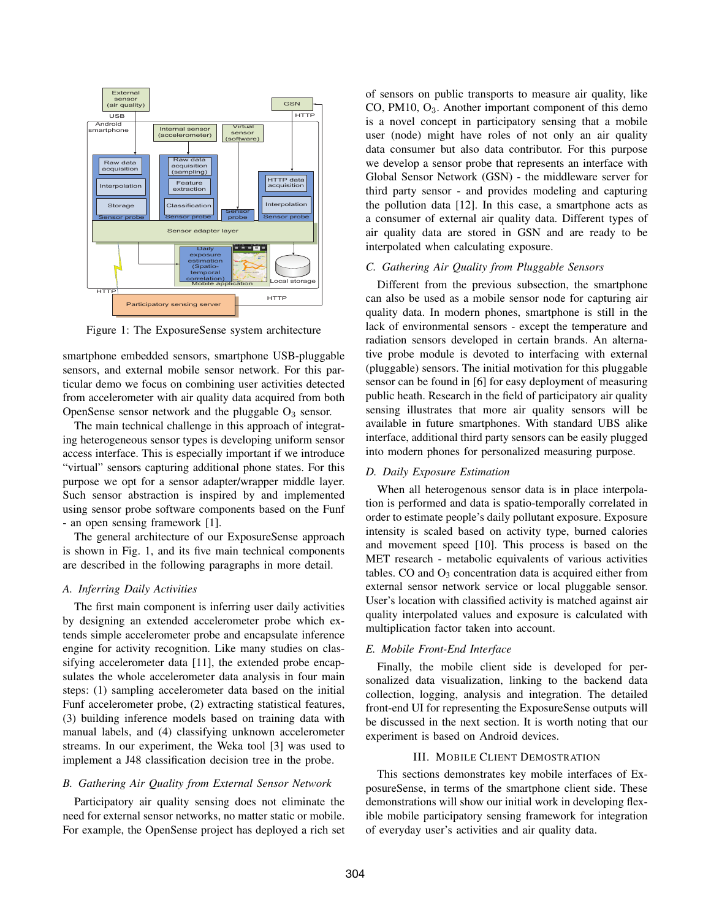

Figure 1: The ExposureSense system architecture

smartphone embedded sensors, smartphone USB-pluggable sensors, and external mobile sensor network. For this particular demo we focus on combining user activities detected from accelerometer with air quality data acquired from both OpenSense sensor network and the pluggable  $O_3$  sensor.

The main technical challenge in this approach of integrating heterogeneous sensor types is developing uniform sensor access interface. This is especially important if we introduce "virtual" sensors capturing additional phone states. For this purpose we opt for a sensor adapter/wrapper middle layer. Such sensor abstraction is inspired by and implemented using sensor probe software components based on the Funf - an open sensing framework [1].

The general architecture of our ExposureSense approach is shown in Fig. 1, and its five main technical components are described in the following paragraphs in more detail.

# *A. Inferring Daily Activities*

The first main component is inferring user daily activities by designing an extended accelerometer probe which extends simple accelerometer probe and encapsulate inference engine for activity recognition. Like many studies on classifying accelerometer data [11], the extended probe encapsulates the whole accelerometer data analysis in four main steps: (1) sampling accelerometer data based on the initial Funf accelerometer probe, (2) extracting statistical features, (3) building inference models based on training data with manual labels, and (4) classifying unknown accelerometer streams. In our experiment, the Weka tool [3] was used to implement a J48 classification decision tree in the probe.

# *B. Gathering Air Quality from External Sensor Network*

Participatory air quality sensing does not eliminate the need for external sensor networks, no matter static or mobile. For example, the OpenSense project has deployed a rich set of sensors on public transports to measure air quality, like  $CO$ , PM10,  $O<sub>3</sub>$ . Another important component of this demo is a novel concept in participatory sensing that a mobile user (node) might have roles of not only an air quality data consumer but also data contributor. For this purpose we develop a sensor probe that represents an interface with Global Sensor Network (GSN) - the middleware server for third party sensor - and provides modeling and capturing the pollution data [12]. In this case, a smartphone acts as a consumer of external air quality data. Different types of air quality data are stored in GSN and are ready to be interpolated when calculating exposure.

# *C. Gathering Air Quality from Pluggable Sensors*

Different from the previous subsection, the smartphone can also be used as a mobile sensor node for capturing air quality data. In modern phones, smartphone is still in the lack of environmental sensors - except the temperature and radiation sensors developed in certain brands. An alternative probe module is devoted to interfacing with external (pluggable) sensors. The initial motivation for this pluggable sensor can be found in [6] for easy deployment of measuring public heath. Research in the field of participatory air quality sensing illustrates that more air quality sensors will be available in future smartphones. With standard UBS alike interface, additional third party sensors can be easily plugged into modern phones for personalized measuring purpose.

# *D. Daily Exposure Estimation*

When all heterogenous sensor data is in place interpolation is performed and data is spatio-temporally correlated in order to estimate people's daily pollutant exposure. Exposure intensity is scaled based on activity type, burned calories and movement speed [10]. This process is based on the MET research - metabolic equivalents of various activities tables. CO and  $O_3$  concentration data is acquired either from external sensor network service or local pluggable sensor. User's location with classified activity is matched against air quality interpolated values and exposure is calculated with multiplication factor taken into account.

# *E. Mobile Front-End Interface*

Finally, the mobile client side is developed for personalized data visualization, linking to the backend data collection, logging, analysis and integration. The detailed front-end UI for representing the ExposureSense outputs will be discussed in the next section. It is worth noting that our experiment is based on Android devices.

# III. MOBILE CLIENT DEMOSTRATION

This sections demonstrates key mobile interfaces of ExposureSense, in terms of the smartphone client side. These demonstrations will show our initial work in developing flexible mobile participatory sensing framework for integration of everyday user's activities and air quality data.